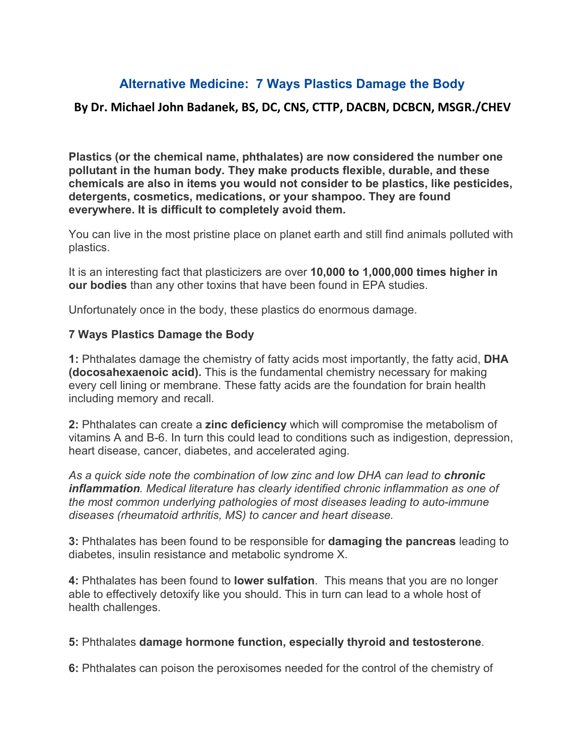## **Alternative Medicine: 7 Ways Plastics Damage the Body**

## **By Dr. Michael John Badanek, BS, DC, CNS, CTTP, DACBN, DCBCN, MSGR./CHEV**

**Plastics (or the chemical name, phthalates) are now considered the number one pollutant in the human body. They make products flexible, durable, and these chemicals are also in items you would not consider to be plastics, like pesticides, detergents, cosmetics, medications, or your shampoo. They are found everywhere. It is difficult to completely avoid them.**

You can live in the most pristine place on planet earth and still find animals polluted with plastics.

It is an interesting fact that plasticizers are over **10,000 to 1,000,000 times higher in our bodies** than any other toxins that have been found in EPA studies.

Unfortunately once in the body, these plastics do enormous damage.

## **7 Ways Plastics Damage the Body**

**1:** Phthalates damage the chemistry of fatty acids most importantly, the fatty acid, **DHA (docosahexaenoic acid).** This is the fundamental chemistry necessary for making every cell lining or membrane. These fatty acids are the foundation for brain health including memory and recall.

**2:** Phthalates can create a **zinc deficiency** which will compromise the metabolism of vitamins A and B-6. In turn this could lead to conditions such as indigestion, depression, heart disease, cancer, diabetes, and accelerated aging.

*As a quick side note the combination of low zinc and low DHA can lead to chronic inflammation. Medical literature has clearly identified chronic inflammation as one of the most common underlying pathologies of most diseases leading to auto-immune diseases (rheumatoid arthritis, MS) to cancer and heart disease.*

**3:** Phthalates has been found to be responsible for **damaging the pancreas** leading to diabetes, insulin resistance and metabolic syndrome X.

**4:** Phthalates has been found to **lower sulfation**. This means that you are no longer able to effectively detoxify like you should. This in turn can lead to a whole host of health challenges.

## **5:** Phthalates **damage hormone function, especially thyroid and testosterone**.

**6:** Phthalates can poison the peroxisomes needed for the control of the chemistry of